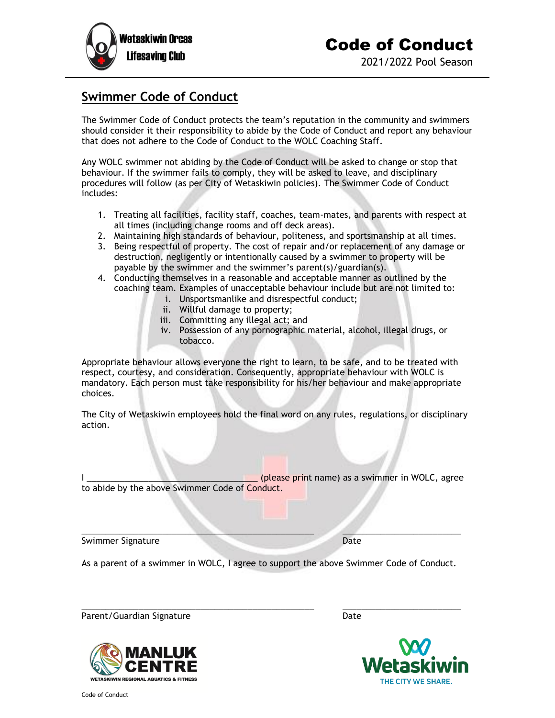

## **Swimmer Code of Conduct**

The Swimmer Code of Conduct protects the team's reputation in the community and swimmers should consider it their responsibility to abide by the Code of Conduct and report any behaviour that does not adhere to the Code of Conduct to the WOLC Coaching Staff.

Any WOLC swimmer not abiding by the Code of Conduct will be asked to change or stop that behaviour. If the swimmer fails to comply, they will be asked to leave, and disciplinary procedures will follow (as per City of Wetaskiwin policies). The Swimmer Code of Conduct includes:

- 1. Treating all facilities, facility staff, coaches, team-mates, and parents with respect at all times (including change rooms and off deck areas).
- 2. Maintaining high standards of behaviour, politeness, and sportsmanship at all times.
- 3. Being respectful of property. The cost of repair and/or replacement of any damage or destruction, negligently or intentionally caused by a swimmer to property will be payable by the swimmer and the swimmer's parent(s)/guardian(s).
- 4. Conducting themselves in a reasonable and acceptable manner as outlined by the coaching team. Examples of unacceptable behaviour include but are not limited to:
	- i. Unsportsmanlike and disrespectful conduct;
		- ii. Willful damage to property;
	- iii. Committing any illegal act; and
	- iv. Possession of any pornographic material, alcohol, illegal drugs, or tobacco.

Appropriate behaviour allows everyone the right to learn, to be safe, and to be treated with respect, courtesy, and consideration. Consequently, appropriate behaviour with WOLC is mandatory. Each person must take responsibility for his/her behaviour and make appropriate choices.

The City of Wetaskiwin employees hold the final word on any rules, regulations, or disciplinary action.

I \_\_\_\_\_\_\_\_\_\_\_\_\_\_\_\_\_\_\_\_\_\_\_\_\_\_\_\_\_\_\_\_\_\_\_\_ (please print name) as a swimmer in WOLC, agree to abide by the above Swimmer Code of Conduct.

Swimmer Signature Date

As a parent of a swimmer in WOLC, I agree to support the above Swimmer Code of Conduct.

\_\_\_\_\_\_\_\_\_\_\_\_\_\_\_\_\_\_\_\_\_\_\_\_\_\_\_\_\_\_\_\_\_\_\_\_\_\_\_\_\_\_\_\_\_\_\_\_\_ \_\_\_\_\_\_\_\_\_\_\_\_\_\_\_\_\_\_\_\_\_\_\_\_\_

\_\_\_\_\_\_\_\_\_\_\_\_\_\_\_\_\_\_\_\_\_\_\_\_\_\_\_\_\_\_\_\_\_\_\_\_\_\_\_\_\_\_\_\_\_\_\_\_\_ \_\_\_\_\_\_\_\_\_\_\_\_\_\_\_\_\_\_\_\_\_\_\_\_\_

Parent/Guardian Signature Date

**REGIONAL AQUATICS & FITNES:**